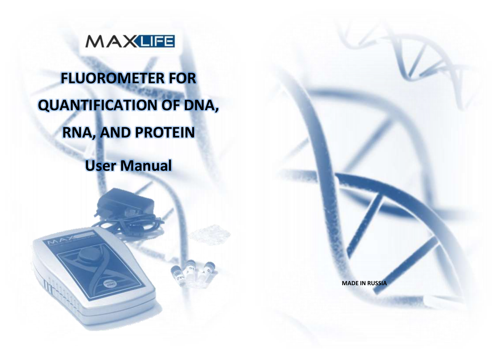

# **FLUOROMETER FOR QUANTIFICATION OF DNA, RNA, AND PROTEIN**

**User Manual**

**MADE IN RUSSIA**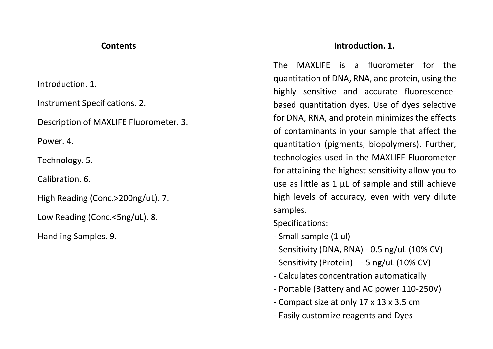### **Contents**

Introduction. 1.

Instrument Specifications. 2.

Description of MAXLIFE Fluorometer. 3.

Power. 4

Technology. 5.

Calibration. 6.

High Reading (Conc.>200ng/uL). 7.

Low Reading (Conc.<5ng/uL). 8.

Handling Samples. 9.

## **Introduction. 1.**

The MAXLIFE is a fluorometer for the quantitation of DNA, RNA, and protein, using the highly sensitive and accurate fluorescencebased quantitation dyes. Use of dyes selective for DNA, RNA, and protein minimizes the effects of contaminants in your sample that affect the quantitation (pigments, biopolymers). Further, technologies used in the MAXLIFE Fluorometer for attaining the highest sensitivity allow you to use as little as 1 μL of sample and still achieve high levels of accuracy, even with very dilute samples.

Specifications:

- Small sample (1 ul)
- Sensitivity (DNA, RNA) 0.5 ng/uL (10% CV)
- Sensitivity (Protein) 5 ng/uL (10% CV)
- Calculates concentration automatically
- Portable (Battery and AC power 110-250V)
- Compact size at only 17 x 13 x 3.5 cm
- Easily customize reagents and Dyes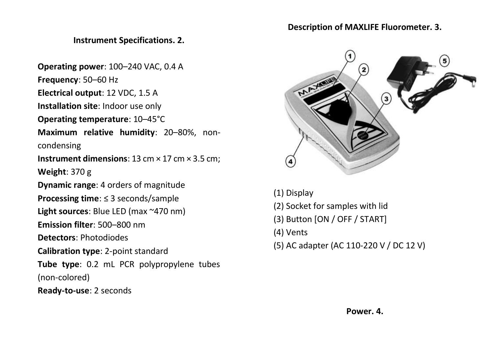# **Instrument Specifications. 2.**

**Operating power**: 100–240 VAC, 0.4 A

**Frequency**: 50–60 Hz

**Electrical output**: 12 VDC, 1.5 A

**Installation site**: Indoor use only

**Operating temperature**: 10–45°C

**Maximum relative humidity**: 20–80%, non-

condensing

**Instrument dimensions**: 13 cm × 17 cm × 3.5 cm;

**Weight**: 370 g

**Dynamic range**: 4 orders of magnitude

**Processing time**: ≤ 3 seconds/sample

**Light sources**: Blue LED (max ~470 nm)

**Emission filter**: 500–800 nm

**Detectors**: Photodiodes

**Calibration type**: 2-point standard

**Tube type**: 0.2 mL PCR polypropylene tubes

(non-colored)

**Ready-to-use**: 2 seconds

#### **Description of MAXLIFE Fluorometer. 3.**



- (1) Display
- (2) Socket for samples with lid
- (3) Button [ON / OFF / START]
- (4) Vents
- (5) AC adapter (AC 110-220 V / DC 12 V)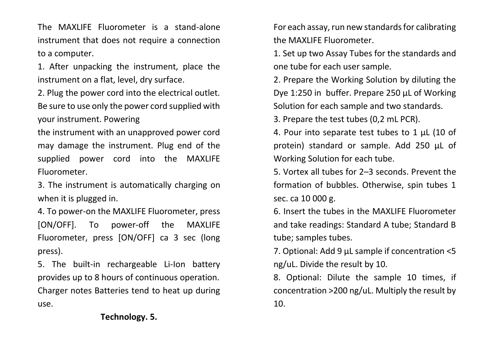The MAXLIFE Fluorometer is a stand-alone instrument that does not require a connection to a computer.

1. After unpacking the instrument, place the instrument on a flat, level, dry surface.

2. Plug the power cord into the electrical outlet. Be sure to use only the power cord supplied with your instrument. Powering

the instrument with an unapproved power cord may damage the instrument. Plug end of the supplied power cord into the MAXLIFE Fluorometer.

3. The instrument is automatically charging on when it is plugged in.

4. To power-on the MAXLIFE Fluorometer, press [ON/OFF]. To power-off the MAXLIFE Fluorometer, press [ON/OFF] ca 3 sec (long press).

5. The built-in rechargeable Li-Ion battery provides up to 8 hours of continuous operation. Charger notes Batteries tend to heat up during use.

For each assay, run new standards for calibrating the MAXLIFE Fluorometer.

1. Set up two Assay Tubes for the standards and one tube for each user sample.

2. Prepare the Working Solution by diluting the Dye 1:250 in buffer. Prepare 250 μL of Working Solution for each sample and two standards.

3. Prepare the test tubes (0,2 mL PCR).

4. Pour into separate test tubes to 1 μL (10 of protein) standard or sample. Add 250 μL of Working Solution for each tube.

5. Vortex all tubes for 2–3 seconds. Prevent the formation of bubbles. Otherwise, spin tubes 1 sec. ca 10 000 g.

6. Insert the tubes in the MAXLIFE Fluorometer and take readings: Standard A tube; Standard B tube; samples tubes.

7. Optional: Add 9 μL sample if concentration <5 ng/uL. Divide the result by 10.

8. Optional: Dilute the sample 10 times, if concentration >200 ng/uL. Multiply the result by 10.

# **Technology. 5.**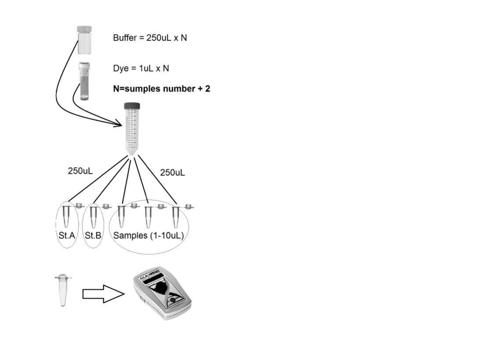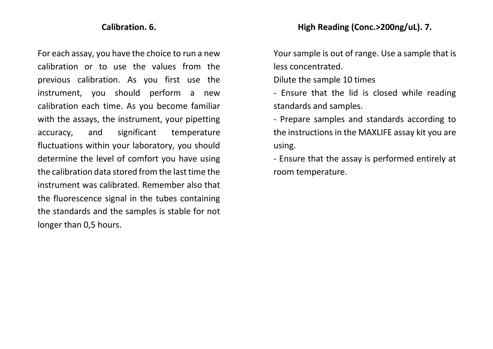#### **Calibration. 6.**

For each assay, you have the choice to run a new calibration or to use the values from the previous calibration. As you first use the instrument, you should perform a new calibration each time. As you become familiar with the assays, the instrument, your pipetting accuracy, and significant temperature fluctuations within your laboratory, you should determine the level of comfort you have using the calibration data stored from the last time the instrument was calibrated. Remember also that the fluorescence signal in the tubes containing the standards and the samples is stable for not longer than 0,5 hours.

Your sample is out of range. Use a sample that is less concentrated.

Dilute the sample 10 times

- Ensure that the lid is closed while reading standards and samples.

- Prepare samples and standards according to the instructions in the MAXLIFE assay kit you are using.

- Ensure that the assay is performed entirely at room temperature.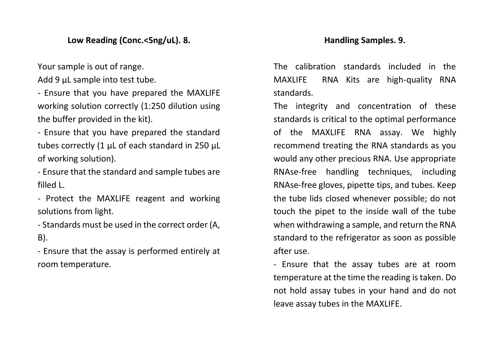## **Low Reading (Conc.<5ng/uL). 8.**

Your sample is out of range.

Add 9 μL sample into test tube.

- Ensure that you have prepared the MAXLIFE working solution correctly (1:250 dilution using the buffer provided in the kit).

- Ensure that you have prepared the standard tubes correctly (1 μL of each standard in 250 μL of working solution).

- Ensure that the standard and sample tubes are filled L.

- Protect the MAXLIFE reagent and working solutions from light.

- Standards must be used in the correct order (A, B).

- Ensure that the assay is performed entirely at room temperature.

#### **Handling Samples. 9.**

The calibration standards included in the MAXLIFE RNA Kits are high-quality RNA standards.

The integrity and concentration of these standards is critical to the optimal performance of the MAXLIFE RNA assay. We highly recommend treating the RNA standards as you would any other precious RNA. Use appropriate RNAse-free handling techniques, including RNAse-free gloves, pipette tips, and tubes. Keep the tube lids closed whenever possible; do not touch the pipet to the inside wall of the tube when withdrawing a sample, and return the RNA standard to the refrigerator as soon as possible after use.

- Ensure that the assay tubes are at room temperature at the time the reading is taken. Do not hold assay tubes in your hand and do not leave assay tubes in the MAXLIFE.